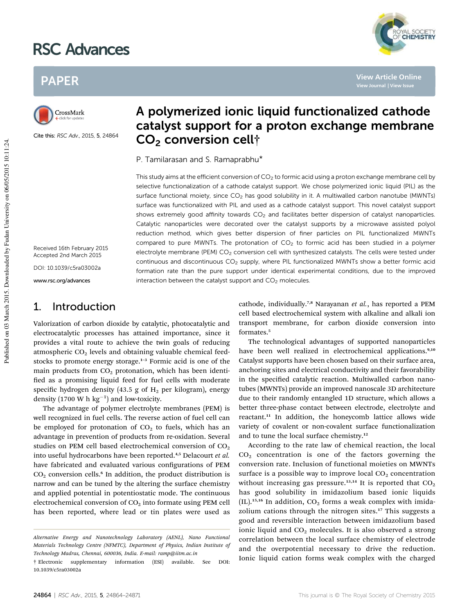# RSC Advances





Cite this: RSC Adv., 2015, 5, 24864

# A polymerized ionic liquid functionalized cathode catalyst support for a proton exchange membrane CO<sub>2</sub> conversion cell<sup>†</sup>

P. Tamilarasan and S. Ramaprabhu\*

This study aims at the efficient conversion of  $CO<sub>2</sub>$  to formic acid using a proton exchange membrane cell by selective functionalization of a cathode catalyst support. We chose polymerized ionic liquid (PIL) as the surface functional moiety, since  $CO<sub>2</sub>$  has good solubility in it. A multiwalled carbon nanotube (MWNTs) surface was functionalized with PIL and used as a cathode catalyst support. This novel catalyst support shows extremely good affinity towards  $CO<sub>2</sub>$  and facilitates better dispersion of catalyst nanoparticles. Catalytic nanoparticles were decorated over the catalyst supports by a microwave assisted polyol reduction method, which gives better dispersion of finer particles on PIL functionalized MWNTs compared to pure MWNTs. The protonation of  $CO<sub>2</sub>$  to formic acid has been studied in a polymer electrolyte membrane (PEM)  $CO<sub>2</sub>$  conversion cell with synthesized catalysts. The cells were tested under continuous and discontinuous CO<sub>2</sub> supply, where PIL functionalized MWNTs show a better formic acid formation rate than the pure support under identical experimental conditions, due to the improved interaction between the catalyst support and  $CO<sub>2</sub>$  molecules.

Received 16th February 2015 Accepted 2nd March 2015

DOI: 10.1039/c5ra03002a

www.rsc.org/advances

Published on 03 March 2015. Downloaded by Fudan University on 06/05/2015 10:11:24.

Published on 03 March 2015. Downloaded by Fudan University on 06/05/2015 10:11:24.

## 1. Introduction

Valorization of carbon dioxide by catalytic, photocatalytic and electrocatalytic processes has attained importance, since it provides a vital route to achieve the twin goals of reducing atmospheric  $CO<sub>2</sub>$  levels and obtaining valuable chemical feedstocks to promote energy storage.<sup>1-3</sup> Formic acid is one of the main products from  $CO<sub>2</sub>$  protonation, which has been identified as a promising liquid feed for fuel cells with moderate specific hydrogen density (43.5 g of  $H_2$  per kilogram), energy density  $(1700 \text{ W h kg}^{-1})$  and low-toxicity.

The advantage of polymer electrolyte membranes (PEM) is well recognized in fuel cells. The reverse action of fuel cell can be employed for protonation of  $CO<sub>2</sub>$  to fuels, which has an advantage in prevention of products from re-oxidation. Several studies on PEM cell based electrochemical conversion of  $CO<sub>2</sub>$ into useful hydrocarbons have been reported.4,5 Delacourt *et al.* have fabricated and evaluated various configurations of PEM  $CO<sub>2</sub>$  conversion cells.<sup>6</sup> In addition, the product distribution is narrow and can be tuned by the altering the surface chemistry and applied potential in potentiostatic mode. The continuous electrochemical conversion of  $CO<sub>2</sub>$  into formate using PEM cell has been reported, where lead or tin plates were used as cathode, individually.7,8 Narayanan *et al.*, has reported a PEM cell based electrochemical system with alkaline and alkali ion transport membrane, for carbon dioxide conversion into formates.<sup>5</sup>

**View Article Online**

**YAL SOCIETY** 

The technological advantages of supported nanoparticles have been well realized in electrochemical applications.<sup>9,10</sup> Catalyst supports have been chosen based on their surface area, anchoring sites and electrical conductivity and their favorability in the specified catalytic reaction. Multiwalled carbon nanotubes (MWNTs) provide an improved nanoscale 3D architecture due to their randomly entangled 1D structure, which allows a better three-phase contact between electrode, electrolyte and reactant.<sup>11</sup> In addition, the honeycomb lattice allows wide variety of covalent or non-covalent surface functionalization and to tune the local surface chemistry.<sup>12</sup>

According to the rate law of chemical reaction, the local  $CO<sub>2</sub>$  concentration is one of the factors governing the conversion rate. Inclusion of functional moieties on MWNTs surface is a possible way to improve local  $CO<sub>2</sub>$  concentration without increasing gas pressure.<sup>13,14</sup> It is reported that  $CO<sub>2</sub>$ has good solubility in imidazolium based ionic liquids  $(IL).$ <sup>15,16</sup> In addition,  $CO<sub>2</sub>$  forms a weak complex with imidazolium cations through the nitrogen sites.<sup>17</sup> This suggests a good and reversible interaction between imidazolium based ionic liquid and  $CO<sub>2</sub>$  molecules. It is also observed a strong correlation between the local surface chemistry of electrode and the overpotential necessary to drive the reduction. Ionic liquid cation forms weak complex with the charged

*Alternative Energy and Nanotechnology Laboratory (AENL), Nano Functional Materials Technology Centre (NFMTC), Department of Physics, Indian Institute of Technology Madras, Chennai, 600036, India. E-mail: ramp@iitm.ac.in*

<sup>†</sup> Electronic supplementary information (ESI) available. See DOI: 10.1039/c5ra03002a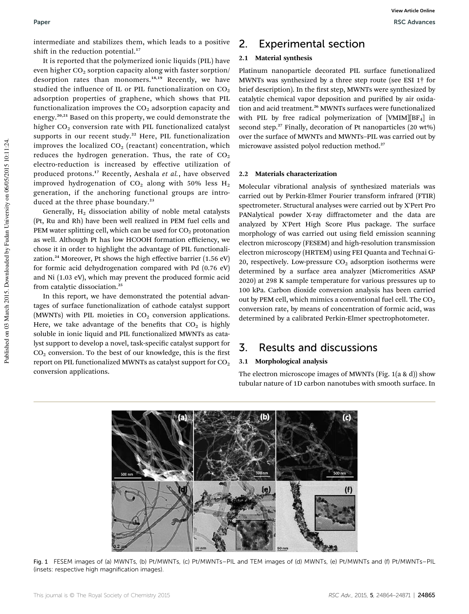intermediate and stabilizes them, which leads to a positive shift in the reduction potential. $17$ 

It is reported that the polymerized ionic liquids (PIL) have even higher  $CO<sub>2</sub>$  sorption capacity along with faster sorption/ desorption rates than monomers.<sup>18,19</sup> Recently, we have studied the influence of IL or PIL functionalization on  $CO<sub>2</sub>$ adsorption properties of graphene, which shows that PIL functionalization improves the  $CO<sub>2</sub>$  adsorption capacity and energy.20,21 Based on this property, we could demonstrate the higher  $CO<sub>2</sub>$  conversion rate with PIL functionalized catalyst supports in our recent study.<sup>22</sup> Here, PIL functionalization improves the localized  $CO<sub>2</sub>$  (reactant) concentration, which reduces the hydrogen generation. Thus, the rate of  $CO<sub>2</sub>$ electro-reduction is increased by effective utilization of produced protons.<sup>17</sup> Recently, Aeshala *et al.*, have observed improved hydrogenation of  $CO<sub>2</sub>$  along with 50% less  $H<sub>2</sub>$ generation, if the anchoring functional groups are introduced at the three phase boundary.<sup>23</sup>

Generally,  $H_2$  dissociation ability of noble metal catalysts (Pt, Ru and Rh) have been well realized in PEM fuel cells and PEM water splitting cell, which can be used for  $CO<sub>2</sub>$  protonation as well. Although Pt has low HCOOH formation efficiency, we chose it in order to highlight the advantage of PIL functionalization.<sup>24</sup> Moreover, Pt shows the high effective barrier (1.56 eV) for formic acid dehydrogenation compared with Pd (0.76 eV) and Ni (1.03 eV), which may prevent the produced formic acid from catalytic dissociation.<sup>25</sup>

In this report, we have demonstrated the potential advantages of surface functionalization of cathode catalyst support (MWNTs) with PIL moieties in  $CO<sub>2</sub>$  conversion applications. Here, we take advantage of the benefits that  $CO<sub>2</sub>$  is highly soluble in ionic liquid and PIL functionalized MWNTs as catalyst support to develop a novel, task-specific catalyst support for  $CO<sub>2</sub>$  conversion. To the best of our knowledge, this is the first report on PIL functionalized MWNTs as catalyst support for  $CO<sub>2</sub>$ conversion applications.

# 2. Experimental section

#### 2.1 Material synthesis

Platinum nanoparticle decorated PIL surface functionalized MWNTs was synthesized by a three step route (see ESI 1† for brief description). In the first step, MWNTs were synthesized by catalytic chemical vapor deposition and purified by air oxidation and acid treatment.<sup>26</sup> MWNTs surfaces were functionalized with PIL by free radical polymerization of  $[VMIM][BF_4]$  in second step.<sup>27</sup> Finally, decoration of Pt nanoparticles (20 wt%) over the surface of MWNTs and MWNTs–PIL was carried out by microwave assisted polyol reduction method.<sup>27</sup>

#### 2.2 Materials characterization

Molecular vibrational analysis of synthesized materials was carried out by Perkin-Elmer Fourier transform infrared (FTIR) spectrometer. Structural analyses were carried out by X'Pert Pro PANalytical powder X-ray diffractometer and the data are analyzed by X'Pert High Score Plus package. The surface morphology of was carried out using field emission scanning electron microscopy (FESEM) and high-resolution transmission electron microscopy (HRTEM) using FEI Quanta and Technai G-20, respectively. Low-pressure  $CO<sub>2</sub>$  adsorption isotherms were determined by a surface area analyzer (Micromeritics ASAP 2020) at 298 K sample temperature for various pressures up to 100 kPa. Carbon dioxide conversion analysis has been carried out by PEM cell, which mimics a conventional fuel cell. The  $CO<sub>2</sub>$ conversion rate, by means of concentration of formic acid, was determined by a calibrated Perkin-Elmer spectrophotometer.

# 3. Results and discussions

#### 3.1 Morphological analysis

The electron microscope images of MWNTs (Fig. 1(a & d)) show tubular nature of 1D carbon nanotubes with smooth surface. In



Fig. 1 FESEM images of (a) MWNTs, (b) Pt/MWNTs, (c) Pt/MWNTs–PIL and TEM images of (d) MWNTs, (e) Pt/MWNTs and (f) Pt/MWNTs–PIL (insets: respective high magnification images).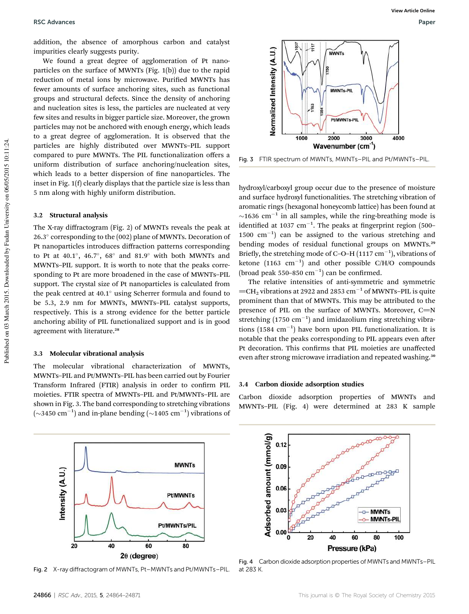addition, the absence of amorphous carbon and catalyst impurities clearly suggests purity.

We found a great degree of agglomeration of Pt nanoparticles on the surface of MWNTs (Fig. 1(b)) due to the rapid reduction of metal ions by microwave. Purified MWNTs has fewer amounts of surface anchoring sites, such as functional groups and structural defects. Since the density of anchoring and nucleation sites is less, the particles are nucleated at very few sites and results in bigger particle size. Moreover, the grown particles may not be anchored with enough energy, which leads to a great degree of agglomeration. It is observed that the particles are highly distributed over MWNTs–PIL support compared to pure MWNTs. The PIL functionalization offers a uniform distribution of surface anchoring/nucleation sites, which leads to a better dispersion of fine nanoparticles. The inset in Fig. 1(f) clearly displays that the particle size is less than 5 nm along with highly uniform distribution.

#### 3.2 Structural analysis

The X-ray diffractogram (Fig. 2) of MWNTs reveals the peak at 26.3 corresponding to the (002) plane of MWNTs. Decoration of Pt nanoparticles introduces diffraction patterns corresponding to Pt at  $40.1^{\circ}$ ,  $46.7^{\circ}$ ,  $68^{\circ}$  and  $81.9^{\circ}$  with both MWNTs and MWNTs–PIL support. It is worth to note that the peaks corresponding to Pt are more broadened in the case of MWNTs–PIL support. The crystal size of Pt nanoparticles is calculated from the peak centred at  $40.1^\circ$  using Scherrer formula and found to be 5.3, 2.9 nm for MWNTs, MWNTs–PIL catalyst supports, respectively. This is a strong evidence for the better particle anchoring ability of PIL functionalized support and is in good agreement with literature.<sup>28</sup>

#### 3.3 Molecular vibrational analysis

The molecular vibrational characterization of MWNTs, MWNTs–PIL and Pt/MWNTs–PIL has been carried out by Fourier Transform Infrared (FTIR) analysis in order to confirm PIL moieties. FTIR spectra of MWNTs–PIL and Pt/MWNTs–PIL are shown in Fig. 3. The band corresponding to stretching vibrations  $(\sim$  3450 cm<sup>-1</sup>) and in-plane bending ( $\sim$  1405 cm<sup>-1</sup>) vibrations of



Fig. 2 X-ray diffractogram of MWNTs, Pt–MWNTs and Pt/MWNTs–PIL.





hydroxyl/carboxyl group occur due to the presence of moisture and surface hydroxyl functionalities. The stretching vibration of aromatic rings (hexagonal honeycomb lattice) has been found at  $\sim$ 1636 cm<sup>-1</sup> in all samples, while the ring-breathing mode is identified at 1037  $cm^{-1}$ . The peaks at fingerprint region (500- $1500 \text{ cm}^{-1}$ ) can be assigned to the various stretching and bending modes of residual functional groups on MWNTs.<sup>29</sup> Briefly, the stretching mode of C-O-H  $(1117 \text{ cm}^{-1})$ , vibrations of ketone  $(1163 \text{ cm}^{-1})$  and other possible C/H/O compounds (broad peak  $550-850$   $cm^{-1}$ ) can be confirmed.

The relative intensities of anti-symmetric and symmetric  $=$ CH<sub>2</sub> vibrations at 2922 and 2853 cm<sup>-1</sup> of MWNTs-PIL is quite prominent than that of MWNTs. This may be attributed to the presence of PIL on the surface of MWNTs. Moreover,  $C=N$ stretching  $(1750 \text{ cm}^{-1})$  and imidazolium ring stretching vibrations  $(1584 \text{ cm}^{-1})$  have born upon PIL functionalization. It is notable that the peaks corresponding to PIL appears even after Pt decoration. This confirms that PIL moieties are unaffected even after strong microwave irradiation and repeated washing.<sup>30</sup>

#### 3.4 Carbon dioxide adsorption studies

Carbon dioxide adsorption properties of MWNTs and MWNTs–PIL (Fig. 4) were determined at 283 K sample



Fig. 4 Carbon dioxide adsorption properties of MWNTs and MWNTs–PIL at 283 K.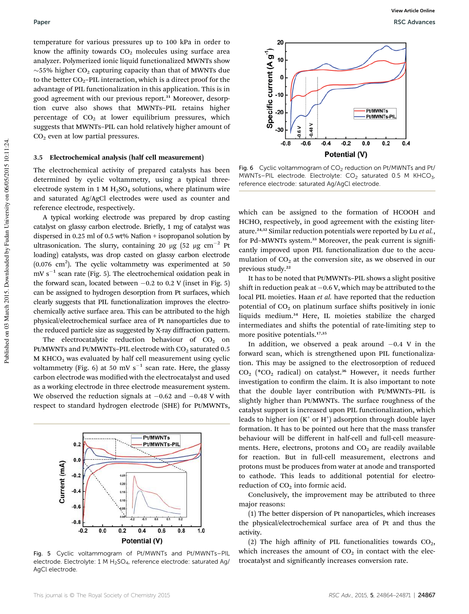temperature for various pressures up to 100 kPa in order to know the affinity towards  $CO<sub>2</sub>$  molecules using surface area analyzer. Polymerized ionic liquid functionalized MWNTs show  $\sim$ 55% higher CO<sub>2</sub> capturing capacity than that of MWNTs due to the better  $CO_2$ –PIL interaction, which is a direct proof for the advantage of PIL functionalization in this application. This is in good agreement with our previous report.<sup>31</sup> Moreover, desorption curve also shows that MWNTs–PIL retains higher percentage of  $CO<sub>2</sub>$  at lower equilibrium pressures, which suggests that MWNTs–PIL can hold relatively higher amount of CO<sub>2</sub> even at low partial pressures.

#### 3.5 Electrochemical analysis (half cell measurement)

The electrochemical activity of prepared catalysts has been determined by cyclic voltammetry, using a typical threeelectrode system in 1 M  $H_2SO_4$  solutions, where platinum wire and saturated Ag/AgCl electrodes were used as counter and reference electrode, respectively.

A typical working electrode was prepared by drop casting catalyst on glassy carbon electrode. Briefly, 1 mg of catalyst was dispersed in 0.25 ml of 0.5 wt% Nafion + isopropanol solution by ultrasonication. The slurry, containing 20  $\mu$ g (52  $\mu$ g cm<sup>-2</sup> Pt loading) catalysts, was drop casted on glassy carbon electrode  $(0.076 \text{ cm}^2)$ . The cyclic voltammetry was experimented at 50  $mV s^{-1}$  scan rate (Fig. 5). The electrochemical oxidation peak in the forward scan, located between  $-0.2$  to 0.2 V (inset in Fig. 5) can be assigned to hydrogen desorption from Pt surfaces, which clearly suggests that PIL functionalization improves the electrochemically active surface area. This can be attributed to the high physical/electrochemical surface area of Pt nanoparticles due to the reduced particle size as suggested by X-ray diffraction pattern.

The electrocatalytic reduction behaviour of  $CO<sub>2</sub>$  on Pt/MWNTs and Pt/MWNTs–PIL electrode with  $CO_2$  saturated 0.5 M KHCO<sup>3</sup> was evaluated by half cell measurement using cyclic voltammetry (Fig. 6) at 50 mV s<sup>-1</sup> scan rate. Here, the glassy carbon electrode was modified with the electrocatalyst and used as a working electrode in three electrode measurement system. We observed the reduction signals at  $-0.62$  and  $-0.48$  V with respect to standard hydrogen electrode (SHE) for Pt/MWNTs,



Fig. 5 Cyclic voltammogram of Pt/MWNTs and Pt/MWNTs–PIL electrode. Electrolyte: 1 M H<sub>2</sub>SO<sub>4</sub>, reference electrode: saturated Ag/ AgCl electrode.



Fig. 6 Cyclic voltammogram of  $CO<sub>2</sub>$  reduction on Pt/MWNTs and Pt/ MWNTs–PIL electrode. Electrolyte:  $CO<sub>2</sub>$  saturated 0.5 M KHCO<sub>3</sub>, reference electrode: saturated Ag/AgCl electrode.

which can be assigned to the formation of HCOOH and HCHO, respectively, in good agreement with the existing literature.24,32 Similar reduction potentials were reported by Lu *et al.*, for Pd-MWNTs system.<sup>33</sup> Moreover, the peak current is significantly improved upon PIL functionalization due to the accumulation of  $CO<sub>2</sub>$  at the conversion site, as we observed in our previous study.<sup>22</sup>

It has to be noted that Pt/MWNTs–PIL shows a slight positive shift in reduction peak at  $-0.6$  V, which may be attributed to the local PIL moieties. Haan *et al.* have reported that the reduction potential of  $CO<sub>2</sub>$  on platinum surface shifts positively in ionic liquids medium.<sup>34</sup> Here, IL moieties stabilize the charged intermediates and shifts the potential of rate-limiting step to more positive potentials.<sup>17,35</sup>

In addition, we observed a peak around  $-0.4$  V in the forward scan, which is strengthened upon PIL functionalization. This may be assigned to the electrosorption of reduced  $CO<sub>2</sub>$  (\*CO<sub>2</sub> radical) on catalyst.<sup>36</sup> However, it needs further investigation to confirm the claim. It is also important to note that the double layer contribution with Pt/MWNTs–PIL is slightly higher than Pt/MWNTs. The surface roughness of the catalyst support is increased upon PIL functionalization, which leads to higher ion  $(K^+$  or  $H^+$ ) adsorption through double layer formation. It has to be pointed out here that the mass transfer behaviour will be different in half-cell and full-cell measurements. Here, electrons, protons and  $CO<sub>2</sub>$  are readily available for reaction. But in full-cell measurement, electrons and protons must be produces from water at anode and transported to cathode. This leads to additional potential for electroreduction of  $CO<sub>2</sub>$  into formic acid.

Conclusively, the improvement may be attributed to three major reasons:

(1) The better dispersion of Pt nanoparticles, which increases the physical/electrochemical surface area of Pt and thus the activity.

(2) The high affinity of PIL functionalities towards  $CO<sub>2</sub>$ , which increases the amount of  $CO<sub>2</sub>$  in contact with the electrocatalyst and significantly increases conversion rate.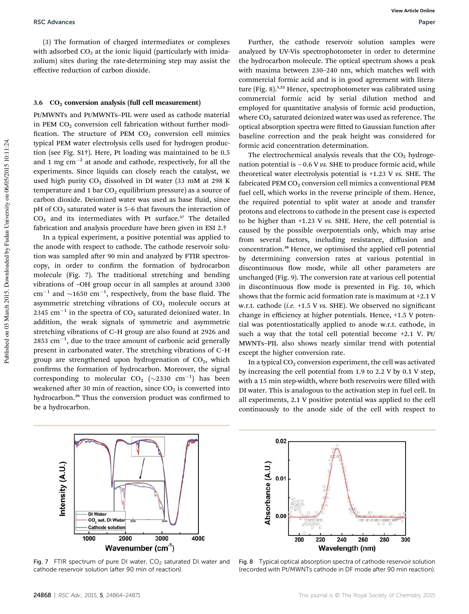(3) The formation of charged intermediates or complexes with adsorbed  $CO<sub>2</sub>$  at the ionic liquid (particularly with imidazolium) sites during the rate-determining step may assist the effective reduction of carbon dioxide.

#### $3.6$   $CO<sub>2</sub>$  conversion analysis (full cell measurement)

Pt/MWNTs and Pt/MWNTs–PIL were used as cathode material in PEM  $CO<sub>2</sub>$  conversion cell fabrication without further modification. The structure of PEM  $CO<sub>2</sub>$  conversion cell mimics typical PEM water electrolysis cells used for hydrogen production (see Fig. S1†). Here, Pt loading was maintained to be 0.5 and 1 mg  $\text{cm}^{-2}$  at anode and cathode, respectively, for all the experiments. Since liquids can closely reach the catalyst, we used high purity  $CO<sub>2</sub>$  dissolved in DI water (33 mM at 298 K) temperature and 1 bar  $CO<sub>2</sub>$  equilibrium pressure) as a source of carbon dioxide. Deionized water was used as base fluid, since  $pH$  of  $CO<sub>2</sub>$  saturated water is 5–6 that favours the interaction of  $CO<sub>2</sub>$  and its intermediates with Pt surface.<sup>37</sup> The detailed fabrication and analysis procedure have been given in ESI 2.†

In a typical experiment, a positive potential was applied to the anode with respect to cathode. The cathode reservoir solution was sampled after 90 min and analyzed by FTIR spectroscopy, in order to confirm the formation of hydrocarbon molecule (Fig. 7). The traditional stretching and bending vibrations of –OH group occur in all samples at around 3300 cm<sup>-1</sup> and  $\sim$ 1650 cm<sup>-1</sup>, respectively, from the base fluid. The asymmetric stretching vibrations of  $CO<sub>2</sub>$  molecule occurs at  $2345$  cm<sup>-1</sup> in the spectra of CO<sub>2</sub> saturated deionized water. In addition, the weak signals of symmetric and asymmetric stretching vibrations of C–H group are also found at 2926 and  $2853$  cm<sup>-1</sup>, due to the trace amount of carbonic acid generally present in carbonated water. The stretching vibrations of C–H group are strengthened upon hydrogenation of  $CO<sub>2</sub>$ , which confirms the formation of hydrocarbon. Moreover, the signal corresponding to molecular  $CO_2$  (~2330 cm<sup>-1</sup>) has been weakened after 30 min of reaction, since  $CO<sub>2</sub>$  is converted into hydrocarbon.<sup>29</sup> Thus the conversion product was confirmed to be a hydrocarbon.

Further, the cathode reservoir solution samples were analyzed by UV-Vis spectrophotometer in order to determine the hydrocarbon molecule. The optical spectrum shows a peak with maxima between 230–240 nm, which matches well with commercial formic acid and is in good agreement with literature (Fig. 8).<sup>5,22</sup> Hence, spectrophotometer was calibrated using commercial formic acid by serial dilution method and employed for quantitative analysis of formic acid production, where  $CO<sub>2</sub>$  saturated deionized water was used as reference. The optical absorption spectra were fitted to Gaussian function after baseline correction and the peak height was considered for formic acid concentration determination.

The electrochemical analysis reveals that the  $CO<sub>2</sub>$  hydrogenation potential is  $-0.6$  V *vs.* SHE to produce formic acid, while theoretical water electrolysis potential is +1.23 V *vs.* SHE. The fabricated PEM  $CO<sub>2</sub>$  conversion cell mimics a conventional PEM fuel cell, which works in the reverse principle of them. Hence, the required potential to split water at anode and transfer protons and electrons to cathode in the present case is expected to be higher than +1.23 V *vs.* SHE. Here, the cell potential is caused by the possible overpotentials only, which may arise from several factors, including resistance, diffusion and concentration.<sup>38</sup> Hence, we optimised the applied cell potential by determining conversion rates at various potential in discontinuous flow mode, while all other parameters are unchanged (Fig. 9). The conversion rate at various cell potential in discontinuous flow mode is presented in Fig. 10, which shows that the formic acid formation rate is maximum at +2.1 V w.r.t. cathode (*i.e.* +1.5 V vs. SHE). We observed no significant change in efficiency at higher potentials. Hence, +1.5 V potential was potentiostatically applied to anode w.r.t. cathode, in such a way that the total cell potential become +2.1 V. Pt/ MWNTs–PIL also shows nearly similar trend with potential except the higher conversion rate.

In a typical  $CO<sub>2</sub>$  conversion experiment, the cell was activated by increasing the cell potential from 1.9 to 2.2 V by 0.1 V step, with a 15 min step-width, where both reservoirs were filled with DI water. This is analogous to the activation step in fuel cell. In all experiments, 2.1 V positive potential was applied to the cell continuously to the anode side of the cell with respect to



Fig. 7 FTIR spectrum of pure DI water,  $CO<sub>2</sub>$  saturated DI water and cathode reservoir solution (after 90 min of reaction).



Fig. 8 Typical optical absorption spectra of cathode reservoir solution (recorded with Pt/MWNTs cathode in DF mode after 90 min reaction).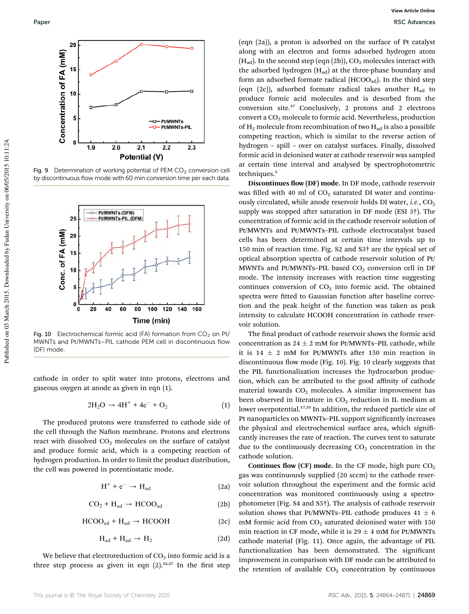

Fig. 9 Determination of working potential of PEM  $CO<sub>2</sub>$  conversion cell by discontinuous flow mode with 60 min conversion time per each data.



Fig. 10 Electrochemical formic acid (FA) formation from  $CO<sub>2</sub>$  on Pt/ MWNTs and Pt/MWNTs–PIL cathode PEM cell in discontinuous flow (DF) mode.

cathode in order to split water into protons, electrons and gaseous oxygen at anode as given in eqn (1).

$$
2H_2O \to 4H^+ + 4e^- + O_2 \tag{1}
$$

The produced protons were transferred to cathode side of the cell through the Nafion membrane. Protons and electrons react with dissolved  $CO<sub>2</sub>$  molecules on the surface of catalyst and produce formic acid, which is a competing reaction of hydrogen production. In order to limit the product distribution, the cell was powered in potentiostatic mode.

$$
H^+ + e^- \to H_{ad} \tag{2a}
$$

$$
CO_2 + H_{ad} \rightarrow HCOO_{ad} \tag{2b}
$$

$$
HCOO_{ad} + H_{ad} \rightarrow HCOOH \tag{2c}
$$

$$
H_{ad} + H_{ad} \rightarrow H_2 \tag{2d}
$$

We believe that electroreduction of  $CO<sub>2</sub>$  into formic acid is a three step process as given in eqn  $(2).^{22,37}$  In the first step

(eqn (2a)), a proton is adsorbed on the surface of Pt catalyst along with an electron and forms adsorbed hydrogen atom  $(H_{ad})$ . In the second step (eqn (2b)),  $CO<sub>2</sub>$  molecules interact with the adsorbed hydrogen  $(H_{ad})$  at the three-phase boundary and form an adsorbed formate radical (HCOO<sub>ad</sub>). In the third step (eqn (2c)), adsorbed formate radical takes another  $H_{ad}$  to produce formic acid molecules and is desorbed from the conversion site.<sup>37</sup> Conclusively, 2 protons and 2 electrons convert a  $CO<sub>2</sub>$  molecule to formic acid. Nevertheless, production of  $H_2$  molecule from recombination of two  $H_{ad}$  is also a possible competing reaction, which is similar to the reverse action of hydrogen – spill – over on catalyst surfaces. Finally, dissolved formic acid in deionised water at cathode reservoir was sampled at certain time interval and analysed by spectrophotometric techniques.<sup>5</sup>

Discontinues flow (DF) mode. In DF mode, cathode reservoir was filled with 40 ml of  $CO<sub>2</sub>$  saturated DI water and continuously circulated, while anode reservoir holds DI water, *i.e.*, CO<sub>2</sub> supply was stopped after saturation in DF mode (ESI  $3\dagger$ ). The concentration of formic acid in the cathode reservoir solution of Pt/MWNTs and Pt/MWNTs–PIL cathode electrocatalyst based cells has been determined at certain time intervals up to 150 min of reaction time. Fig. S2 and S3† are the typical set of optical absorption spectra of cathode reservoir solution of Pt/ MWNTs and Pt/MWNTs-PIL based  $CO<sub>2</sub>$  conversion cell in DF mode. The intensity increases with reaction time suggesting continues conversion of  $CO<sub>2</sub>$  into formic acid. The obtained spectra were fitted to Gaussian function after baseline correction and the peak height of the function was taken as peak intensity to calculate HCOOH concentration in cathode reservoir solution.

The final product of cathode reservoir shows the formic acid concentration as  $24 \pm 2$  mM for Pt/MWNTs–PIL cathode, while it is 14  $\pm$  2 mM for Pt/MWNTs after 150 min reaction in discontinuous flow mode (Fig. 10). Fig. 10 clearly suggests that the PIL functionalization increases the hydrocarbon production, which can be attributed to the good affinity of cathode material towards  $CO<sub>2</sub>$  molecules. A similar improvement has been observed in literature in  $CO<sub>2</sub>$  reduction in IL medium at lower overpotential.<sup>17,35</sup> In addition, the reduced particle size of Pt nanoparticles on MWNTs-PIL support significantly increases the physical and electrochemical surface area, which significantly increases the rate of reaction. The curves tent to saturate due to the continuously decreasing  $CO<sub>2</sub>$  concentration in the cathode solution.

Continues flow (CF) mode. In the CF mode, high pure  $CO<sub>2</sub>$ gas was continuously supplied (20 sccm) to the cathode reservoir solution throughout the experiment and the formic acid concentration was monitored continuously using a spectrophotometer (Fig. S4 and S5†). The analysis of cathode reservoir solution shows that Pt/MWNTs–PIL cathode produces  $41 \pm 6$ mM formic acid from  $CO<sub>2</sub>$  saturated deionised water with 150 min reaction in CF mode, while it is  $29 \pm 4$  mM for Pt/MWNTs cathode material (Fig. 11). Once again, the advantage of PIL functionalization has been demonstrated. The significant improvement in comparison with DF mode can be attributed to the retention of available  $CO<sub>2</sub>$  concentration by continuous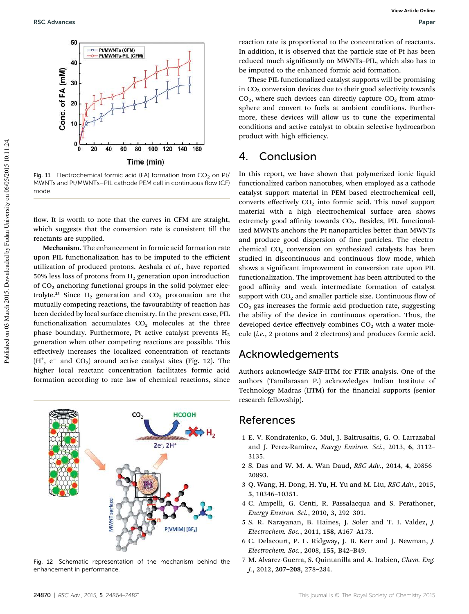

Fig. 11 Electrochemical formic acid (FA) formation from  $CO<sub>2</sub>$  on Pt/ MWNTs and Pt/MWNTs–PIL cathode PEM cell in continuous flow (CF) mode.

flow. It is worth to note that the curves in CFM are straight, which suggests that the conversion rate is consistent till the reactants are supplied.

Mechanism. The enhancement in formic acid formation rate upon PIL functionalization has to be imputed to the efficient utilization of produced protons. Aeshala *et al.*, have reported 50% less loss of protons from  $H_2$  generation upon introduction of  $CO<sub>2</sub>$  anchoring functional groups in the solid polymer electrolyte.<sup>23</sup> Since  $H_2$  generation and  $CO_2$  protonation are the mutually competing reactions, the favourability of reaction has been decided by local surface chemistry. In the present case, PIL functionalization accumulates  $CO<sub>2</sub>$  molecules at the three phase boundary. Furthermore, Pt active catalyst prevents  $H_2$ generation when other competing reactions are possible. This effectively increases the localized concentration of reactants  $(H<sup>+</sup>, e<sup>-</sup>$  and CO<sub>2</sub>) around active catalyst sites (Fig. 12). The higher local reactant concentration facilitates formic acid formation according to rate law of chemical reactions, since



Fig. 12 Schematic representation of the mechanism behind the enhancement in performance.

reaction rate is proportional to the concentration of reactants. In addition, it is observed that the particle size of Pt has been reduced much significantly on MWNTs-PIL, which also has to be imputed to the enhanced formic acid formation.

These PIL functionalized catalyst supports will be promising in  $CO<sub>2</sub>$  conversion devices due to their good selectivity towards  $CO<sub>2</sub>$ , where such devices can directly capture  $CO<sub>2</sub>$  from atmosphere and convert to fuels at ambient conditions. Furthermore, these devices will allow us to tune the experimental conditions and active catalyst to obtain selective hydrocarbon product with high efficiency.

### 4. Conclusion

In this report, we have shown that polymerized ionic liquid functionalized carbon nanotubes, when employed as a cathode catalyst support material in PEM based electrochemical cell, converts effectively  $CO<sub>2</sub>$  into formic acid. This novel support material with a high electrochemical surface area shows extremely good affinity towards  $CO<sub>2</sub>$ . Besides, PIL functionalized MWNTs anchors the Pt nanoparticles better than MWNTs and produce good dispersion of fine particles. The electrochemical  $CO<sub>2</sub>$  conversion on synthesized catalysts has been studied in discontinuous and continuous flow mode, which shows a signicant improvement in conversion rate upon PIL functionalization. The improvement has been attributed to the good affinity and weak intermediate formation of catalyst support with  $CO<sub>2</sub>$  and smaller particle size. Continuous flow of  $CO<sub>2</sub>$  gas increases the formic acid production rate, suggesting the ability of the device in continuous operation. Thus, the developed device effectively combines  $CO<sub>2</sub>$  with a water molecule (*i.e.*, 2 protons and 2 electrons) and produces formic acid.

### Acknowledgements

Authors acknowledge SAIF-IITM for FTIR analysis. One of the authors (Tamilarasan P.) acknowledges Indian Institute of Technology Madras (IITM) for the financial supports (senior research fellowship).

### References

- 1 E. V. Kondratenko, G. Mul, J. Baltrusaitis, G. O. Larrazabal and J. Perez-Ramirez, *Energy Environ. Sci.*, 2013, 6, 3112– 3135.
- 2 S. Das and W. M. A. Wan Daud, *RSC Adv.*, 2014, 4, 20856– 20893.
- 3 Q. Wang, H. Dong, H. Yu, H. Yu and M. Liu, *RSC Adv.*, 2015, 5, 10346–10351.
- 4 C. Ampelli, G. Centi, R. Passalacqua and S. Perathoner, *Energy Environ. Sci.*, 2010, 3, 292–301.
- 5 S. R. Narayanan, B. Haines, J. Soler and T. I. Valdez, *J. Electrochem. Soc.*, 2011, 158, A167–A173.
- 6 C. Delacourt, P. L. Ridgway, J. B. Kerr and J. Newman, *J. Electrochem. Soc.*, 2008, 155, B42–B49.
- 7 M. Alvarez-Guerra, S. Quintanilla and A. Irabien, *Chem. Eng. J.*, 2012, 207–208, 278–284.